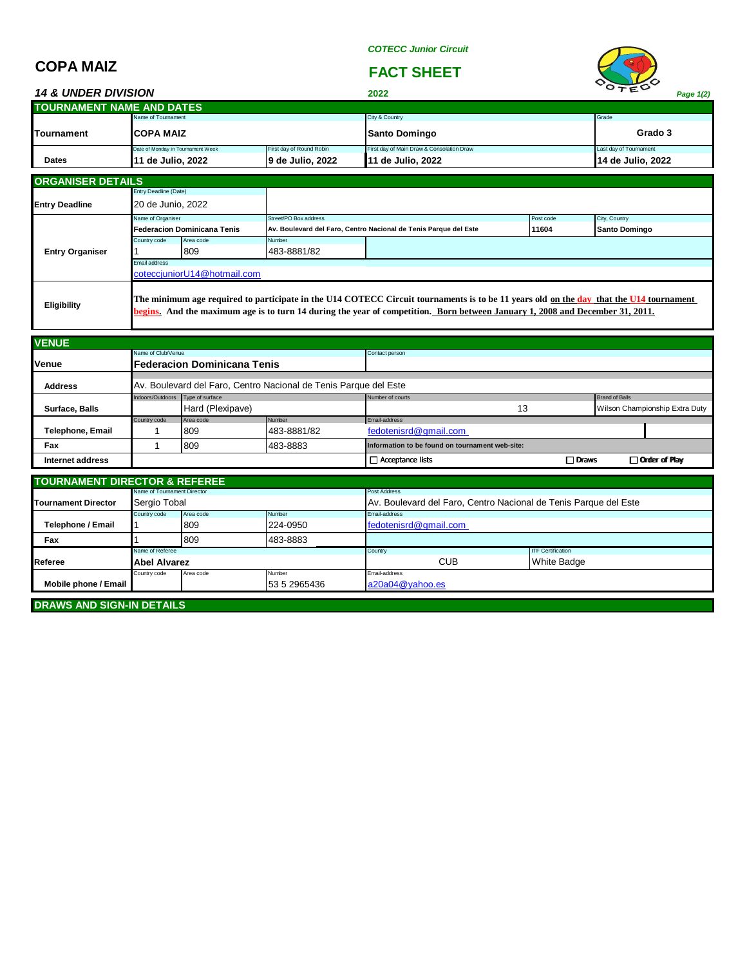*COTECC Junior Circuit*

## **COPA MAIZ FACT SHEET**

| <b>14 &amp; UNDER DIVISION</b>   |                                        |                          | 2022                                      | $V_{\mathcal{TE}}$       | Page 1(2) |
|----------------------------------|----------------------------------------|--------------------------|-------------------------------------------|--------------------------|-----------|
| <b>TOURNAMENT NAME AND DATES</b> |                                        |                          |                                           |                          |           |
|                                  | Name of Tournament                     |                          | City & Country                            | Grade                    |           |
| <b>Tournament</b>                | <b>ICOPA MAIZ</b>                      |                          | <b>Santo Domingo</b>                      | Grado 3                  |           |
|                                  | Date of Monday in Tournament Week      | First day of Round Robin | First day of Main Draw & Consolation Draw | Last day of Tournament   |           |
| <b>Dates</b>                     | 19 de Julio, 2022<br>11 de Julio, 2022 |                          | 11 de Julio, 2022                         | <b>14 de Julio, 2022</b> |           |

| <b>ORGANISER DETAILS</b> |                                                                                                                                                                                                                                                                         |           |                       |                                                                  |           |               |  |  |
|--------------------------|-------------------------------------------------------------------------------------------------------------------------------------------------------------------------------------------------------------------------------------------------------------------------|-----------|-----------------------|------------------------------------------------------------------|-----------|---------------|--|--|
|                          | <b>Entry Deadline (Date)</b>                                                                                                                                                                                                                                            |           |                       |                                                                  |           |               |  |  |
| <b>Entry Deadline</b>    | 20 de Junio, 2022                                                                                                                                                                                                                                                       |           |                       |                                                                  |           |               |  |  |
|                          | Name of Organiser                                                                                                                                                                                                                                                       |           | Street/PO Box address |                                                                  | Post code | City, Country |  |  |
|                          | <b>Federacion Dominicana Tenis</b>                                                                                                                                                                                                                                      |           |                       | Av. Boulevard del Faro, Centro Nacional de Tenis Parque del Este | 11604     | Santo Domingo |  |  |
|                          | Country code                                                                                                                                                                                                                                                            | Area code | Number                |                                                                  |           |               |  |  |
| <b>Entry Organiser</b>   |                                                                                                                                                                                                                                                                         | 809       | 483-8881/82           |                                                                  |           |               |  |  |
|                          | <b>Email address</b>                                                                                                                                                                                                                                                    |           |                       |                                                                  |           |               |  |  |
|                          | cotecciuniorU14@hotmail.com                                                                                                                                                                                                                                             |           |                       |                                                                  |           |               |  |  |
| Eligibility              | The minimum age required to participate in the U14 COTECC Circuit tournaments is to be 11 years old on the day that the U14 tournament<br>begins. And the maximum age is to turn 14 during the year of competition. Born between January 1, 2008 and December 31, 2011. |           |                       |                                                                  |           |               |  |  |

| <b>VENUE</b>            |                                     |                                                                  |             |                                                 |              |                                |                       |  |  |
|-------------------------|-------------------------------------|------------------------------------------------------------------|-------------|-------------------------------------------------|--------------|--------------------------------|-----------------------|--|--|
|                         | Name of Club/Venue                  |                                                                  |             | Contact person                                  |              |                                |                       |  |  |
| Venue                   | <b>IFederacion Dominicana Tenis</b> |                                                                  |             |                                                 |              |                                |                       |  |  |
| <b>Address</b>          |                                     | Av. Boulevard del Faro, Centro Nacional de Tenis Parque del Este |             |                                                 |              |                                |                       |  |  |
|                         | Indoors/Outdoors Type of surface    |                                                                  |             | Number of courts                                |              |                                | <b>Brand of Balls</b> |  |  |
| Surface, Balls          |                                     | Hard (Plexipave)                                                 |             | 13                                              |              | Wilson Championship Extra Duty |                       |  |  |
|                         | Country code                        | Area code                                                        | Number      | Email-address                                   |              |                                |                       |  |  |
| <b>Telephone, Email</b> |                                     | 809                                                              | 483-8881/82 | fedotenisrd@gmail.com                           |              |                                |                       |  |  |
| Fax                     |                                     | 809                                                              | 483-8883    | Information to be found on tournament web-site: |              |                                |                       |  |  |
| Internet address        |                                     |                                                                  |             | $\Box$ Acceptance lists                         | $\Box$ Draws |                                | Order of Play         |  |  |

| <b>TOURNAMENT DIRECTOR &amp; REFEREE</b> |                             |                     |                                                                  |                       |                          |  |  |  |
|------------------------------------------|-----------------------------|---------------------|------------------------------------------------------------------|-----------------------|--------------------------|--|--|--|
|                                          | Name of Tournament Director |                     |                                                                  | Post Address          |                          |  |  |  |
| <b>Tournament Director</b>               | Sergio Tobal                |                     | Av. Boulevard del Faro, Centro Nacional de Tenis Parque del Este |                       |                          |  |  |  |
| Country code<br>Number<br>Area code      |                             |                     |                                                                  | Email-address         |                          |  |  |  |
| Telephone / Email                        | 809<br>224-0950             |                     |                                                                  | fedotenisrd@gmail.com |                          |  |  |  |
| Fax                                      |                             | 809                 | 483-8883                                                         |                       |                          |  |  |  |
|                                          | Name of Referee             |                     |                                                                  | Country               | <b>ITF Certification</b> |  |  |  |
| Referee                                  |                             | <b>Abel Alvarez</b> |                                                                  | <b>CUB</b>            | <b>White Badge</b>       |  |  |  |
| Number<br>Area code<br>Country code      |                             |                     | Email-address                                                    |                       |                          |  |  |  |
| Mobile phone / Email                     |                             |                     | a20a04@yahoo.es<br>53 5 2965436                                  |                       |                          |  |  |  |

**DRAWS AND SIGN-IN DETAILS**

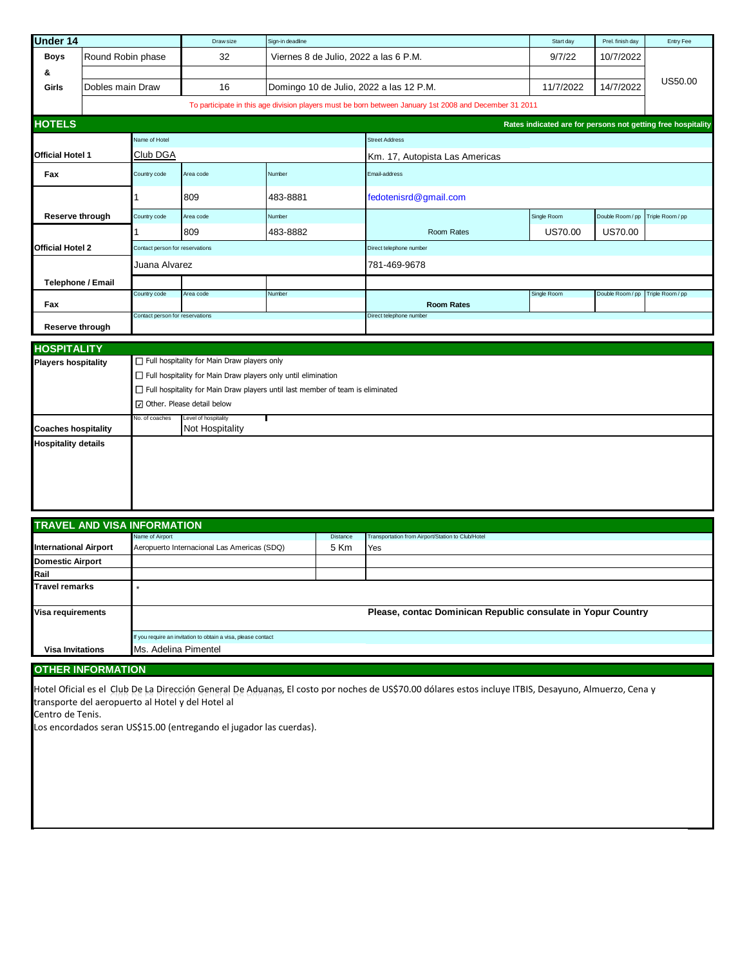| <b>Under 14</b>                                          |                                    | Draw size                       | Sign-in deadline                                                               |                                         | Start day                                                                                              | Prel. finish day | Entry Fee        |                                                              |  |  |
|----------------------------------------------------------|------------------------------------|---------------------------------|--------------------------------------------------------------------------------|-----------------------------------------|--------------------------------------------------------------------------------------------------------|------------------|------------------|--------------------------------------------------------------|--|--|
| Boys                                                     | Round Robin phase                  |                                 | 32                                                                             | Viernes 8 de Julio, 2022 a las 6 P.M.   |                                                                                                        | 9/7/22           | 10/7/2022        |                                                              |  |  |
| &                                                        |                                    |                                 |                                                                                |                                         |                                                                                                        |                  |                  |                                                              |  |  |
| Girls                                                    | Dobles main Draw                   |                                 | 16                                                                             | Domingo 10 de Julio, 2022 a las 12 P.M. |                                                                                                        | 11/7/2022        | 14/7/2022        | US50.00                                                      |  |  |
|                                                          |                                    |                                 |                                                                                |                                         | To participate in this age division players must be born between January 1st 2008 and December 31 2011 |                  |                  |                                                              |  |  |
| <b>HOTELS</b>                                            |                                    |                                 |                                                                                |                                         |                                                                                                        |                  |                  | Rates indicated are for persons not getting free hospitality |  |  |
|                                                          |                                    | Name of Hotel                   |                                                                                |                                         | <b>Street Address</b>                                                                                  |                  |                  |                                                              |  |  |
| Official Hotel 1                                         |                                    | Club DGA                        |                                                                                |                                         | Km. 17, Autopista Las Americas                                                                         |                  |                  |                                                              |  |  |
| Fax                                                      |                                    | Country code                    | Area code                                                                      | Number                                  | Email-address                                                                                          |                  |                  |                                                              |  |  |
|                                                          |                                    |                                 | 809                                                                            | 483-8881                                | fedotenisrd@gmail.com                                                                                  |                  |                  |                                                              |  |  |
|                                                          | Reserve through                    | Country code                    | Area code                                                                      | Number                                  |                                                                                                        | Single Room      | Double Room / pp | Triple Room / pp                                             |  |  |
|                                                          |                                    |                                 | 809                                                                            | 483-8882                                | Room Rates                                                                                             | <b>US70.00</b>   | <b>US70.00</b>   |                                                              |  |  |
| Official Hotel 2                                         |                                    | Contact person for reservations |                                                                                |                                         | Direct telephone number                                                                                |                  |                  |                                                              |  |  |
|                                                          |                                    | Juana Alvarez                   |                                                                                |                                         | 781-469-9678                                                                                           |                  |                  |                                                              |  |  |
|                                                          | <b>Telephone / Email</b>           |                                 |                                                                                |                                         |                                                                                                        |                  |                  |                                                              |  |  |
| Fax                                                      |                                    | Country code                    | Area code                                                                      | Number                                  | <b>Room Rates</b>                                                                                      | Single Room      | Double Room / pp | Triple Room / pp                                             |  |  |
|                                                          | Reserve through                    | Contact person for reservations |                                                                                |                                         | Direct telephone number                                                                                |                  |                  |                                                              |  |  |
| <b>HOSPITALITY</b>                                       |                                    |                                 |                                                                                |                                         |                                                                                                        |                  |                  |                                                              |  |  |
| <b>Players hospitality</b>                               |                                    |                                 | $\Box$ Full hospitality for Main Draw players only                             |                                         |                                                                                                        |                  |                  |                                                              |  |  |
|                                                          |                                    |                                 | $\Box$ Full hospitality for Main Draw players only until elimination           |                                         |                                                                                                        |                  |                  |                                                              |  |  |
|                                                          |                                    |                                 | Full hospitality for Main Draw players until last member of team is eliminated |                                         |                                                                                                        |                  |                  |                                                              |  |  |
|                                                          |                                    |                                 | Other. Please detail below                                                     |                                         |                                                                                                        |                  |                  |                                                              |  |  |
|                                                          |                                    | No. of coaches                  | Level of hospitality<br>Not Hospitality                                        | H                                       |                                                                                                        |                  |                  |                                                              |  |  |
| <b>Coaches hospitality</b><br><b>Hospitality details</b> |                                    |                                 |                                                                                |                                         |                                                                                                        |                  |                  |                                                              |  |  |
|                                                          |                                    |                                 |                                                                                |                                         |                                                                                                        |                  |                  |                                                              |  |  |
|                                                          | <b>TRAVEL AND VISA INFORMATION</b> | Name of Airport                 |                                                                                | Distance                                | Transportation from Airport/Station to Club/Hotel                                                      |                  |                  |                                                              |  |  |

| <b>ITRAVEL AND VISA INFORMATION</b> |                                                               |                 |                                                   |  |  |  |  |  |
|-------------------------------------|---------------------------------------------------------------|-----------------|---------------------------------------------------|--|--|--|--|--|
|                                     | Name of Airport                                               | <b>Distance</b> | Transportation from Airport/Station to Club/Hotel |  |  |  |  |  |
| <b>International Airport</b>        | Aeropuerto Internacional Las Americas (SDQ)                   | 5 Km            | Yes                                               |  |  |  |  |  |
| <b>Domestic Airport</b>             |                                                               |                 |                                                   |  |  |  |  |  |
| Rail                                |                                                               |                 |                                                   |  |  |  |  |  |
| <b>Travel remarks</b>               |                                                               |                 |                                                   |  |  |  |  |  |
| Visa requirements                   | Please, contac Dominican Republic consulate in Yopur Country  |                 |                                                   |  |  |  |  |  |
|                                     | If you require an invitation to obtain a visa, please contact |                 |                                                   |  |  |  |  |  |
| <b>Visa Invitations</b>             | Ms. Adelina Pimentel                                          |                 |                                                   |  |  |  |  |  |

## **OTHER INFORMATION**

Hotel Oficial es el Club De La Dirección General De Aduanas, El costo por noches de US\$70.00 dólares estos incluye ITBIS, Desayuno, Almuerzo, Cena y transporte del aeropuerto al Hotel y del Hotel al

Centro de Tenis.

Los encordados seran US\$15.00 (entregando el jugador las cuerdas).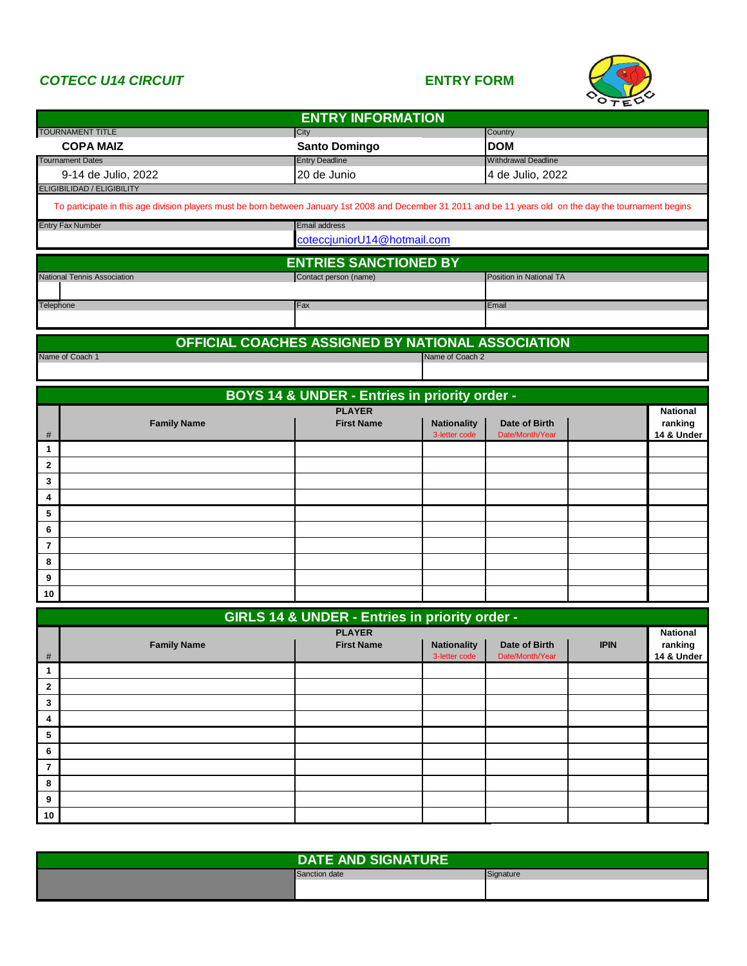## *COTECC U14 CIRCUIT* **ENTRY FORM**



|                     |                                                                                                                                                             | <b>ENTRY INFORMATION</b>                          |                                     |                                  |             |                                          |  |
|---------------------|-------------------------------------------------------------------------------------------------------------------------------------------------------------|---------------------------------------------------|-------------------------------------|----------------------------------|-------------|------------------------------------------|--|
|                     | <b>TOURNAMENT TITLE</b><br><b>COPA MAIZ</b>                                                                                                                 | City<br><b>Santo Domingo</b>                      |                                     | Country<br><b>DOM</b>            |             |                                          |  |
|                     | <b>Tournament Dates</b>                                                                                                                                     | <b>Entry Deadline</b>                             |                                     | <b>Withdrawal Deadline</b>       |             |                                          |  |
|                     | 9-14 de Julio, 2022<br>ELIGIBILIDAD / ELIGIBILITY                                                                                                           | 20 de Junio                                       |                                     | 4 de Julio, 2022                 |             |                                          |  |
|                     | To participate in this age division players must be born between January 1st 2008 and December 31 2011 and be 11 years old on the day the tournament begins |                                                   |                                     |                                  |             |                                          |  |
|                     | <b>Entry Fax Number</b>                                                                                                                                     | Email address                                     |                                     |                                  |             |                                          |  |
|                     |                                                                                                                                                             | coteccjuniorU14@hotmail.com                       |                                     |                                  |             |                                          |  |
|                     |                                                                                                                                                             | <b>ENTRIES SANCTIONED BY</b>                      |                                     |                                  |             |                                          |  |
|                     | National Tennis Association                                                                                                                                 | Contact person (name)                             |                                     | Position in National TA          |             |                                          |  |
| Telephone           |                                                                                                                                                             | Fax                                               |                                     | Email                            |             |                                          |  |
|                     |                                                                                                                                                             |                                                   |                                     |                                  |             |                                          |  |
|                     |                                                                                                                                                             | OFFICIAL COACHES ASSIGNED BY NATIONAL ASSOCIATION |                                     |                                  |             |                                          |  |
|                     | Name of Coach 1                                                                                                                                             |                                                   | Name of Coach 2                     |                                  |             |                                          |  |
|                     |                                                                                                                                                             |                                                   |                                     |                                  |             |                                          |  |
|                     |                                                                                                                                                             | BOYS 14 & UNDER - Entries in priority order -     |                                     |                                  |             |                                          |  |
|                     |                                                                                                                                                             | <b>PLAYER</b>                                     |                                     |                                  |             | National                                 |  |
| #                   | <b>Family Name</b>                                                                                                                                          | <b>First Name</b>                                 | <b>Nationality</b><br>3-letter code | Date of Birth<br>Date/Month/Year |             | ranking<br>14 & Under                    |  |
| 1                   |                                                                                                                                                             |                                                   |                                     |                                  |             |                                          |  |
| $\mathbf 2$         |                                                                                                                                                             |                                                   |                                     |                                  |             |                                          |  |
| 3                   |                                                                                                                                                             |                                                   |                                     |                                  |             |                                          |  |
| 4                   |                                                                                                                                                             |                                                   |                                     |                                  |             |                                          |  |
| 5                   |                                                                                                                                                             |                                                   |                                     |                                  |             |                                          |  |
| 6                   |                                                                                                                                                             |                                                   |                                     |                                  |             |                                          |  |
| $\overline{7}$<br>8 |                                                                                                                                                             |                                                   |                                     |                                  |             |                                          |  |
| 9                   |                                                                                                                                                             |                                                   |                                     |                                  |             |                                          |  |
| 10                  |                                                                                                                                                             |                                                   |                                     |                                  |             |                                          |  |
|                     |                                                                                                                                                             |                                                   |                                     |                                  |             |                                          |  |
|                     |                                                                                                                                                             | GIRLS 14 & UNDER - Entries in priority order -    |                                     |                                  |             |                                          |  |
| #                   | <b>Family Name</b>                                                                                                                                          | <b>PLAYER</b><br><b>First Name</b>                | <b>Nationality</b><br>3-letter code | Date of Birth<br>Date/Month/Year | <b>IPIN</b> | <b>National</b><br>ranking<br>14 & Under |  |
| $\mathbf{1}$        |                                                                                                                                                             |                                                   |                                     |                                  |             |                                          |  |
| $\mathbf{2}$        |                                                                                                                                                             |                                                   |                                     |                                  |             |                                          |  |
| 3                   |                                                                                                                                                             |                                                   |                                     |                                  |             |                                          |  |
| 4                   |                                                                                                                                                             |                                                   |                                     |                                  |             |                                          |  |
| 5                   |                                                                                                                                                             |                                                   |                                     |                                  |             |                                          |  |
| 6                   |                                                                                                                                                             |                                                   |                                     |                                  |             |                                          |  |
| $\overline{7}$      |                                                                                                                                                             |                                                   |                                     |                                  |             |                                          |  |
| 8                   |                                                                                                                                                             |                                                   |                                     |                                  |             |                                          |  |
| 9                   |                                                                                                                                                             |                                                   |                                     |                                  |             |                                          |  |
| 10                  |                                                                                                                                                             |                                                   |                                     |                                  |             |                                          |  |

| <b>DATE AND SIGNATURE</b> |           |
|---------------------------|-----------|
| Sanction date             | Signature |
|                           |           |
|                           |           |